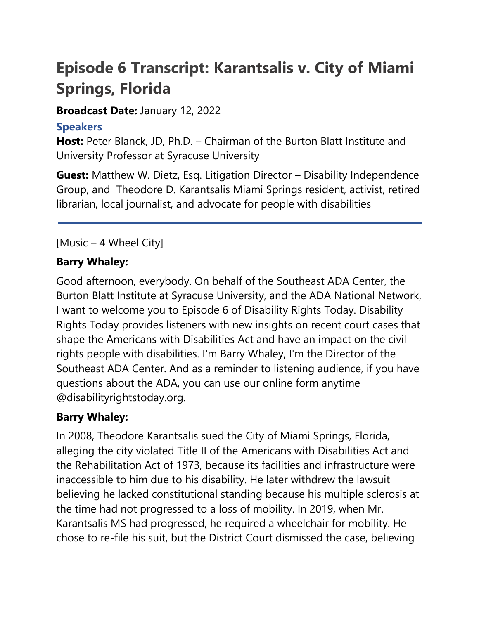# **Episode 6 Transcript: Karantsalis v. City of Miami Springs, Florida**

### **Broadcast Date:** January 12, 2022

# **Speakers**

**Host:** Peter Blanck, JD, Ph.D. – Chairman of the Burton Blatt Institute and University Professor at Syracuse University

**Guest:** Matthew W. Dietz, Esq. Litigation Director – Disability Independence Group, and Theodore D. Karantsalis Miami Springs resident, activist, retired librarian, local journalist, and advocate for people with disabilities

# [Music – 4 Wheel City]

# **Barry Whaley:**

Good afternoon, everybody. On behalf of the Southeast ADA Center, the Burton Blatt Institute at Syracuse University, and the ADA National Network, I want to welcome you to Episode 6 of Disability Rights Today. Disability Rights Today provides listeners with new insights on recent court cases that shape the Americans with Disabilities Act and have an impact on the civil rights people with disabilities. I'm Barry Whaley, I'm the Director of the Southeast ADA Center. And as a reminder to listening audience, if you have questions about the ADA, you can use our online form anytime @disabilityrightstoday.org.

# **Barry Whaley:**

In 2008, Theodore Karantsalis sued the City of Miami Springs, Florida, alleging the city violated Title II of the Americans with Disabilities Act and the Rehabilitation Act of 1973, because its facilities and infrastructure were inaccessible to him due to his disability. He later withdrew the lawsuit believing he lacked constitutional standing because his multiple sclerosis at the time had not progressed to a loss of mobility. In 2019, when Mr. Karantsalis MS had progressed, he required a wheelchair for mobility. He chose to re-file his suit, but the District Court dismissed the case, believing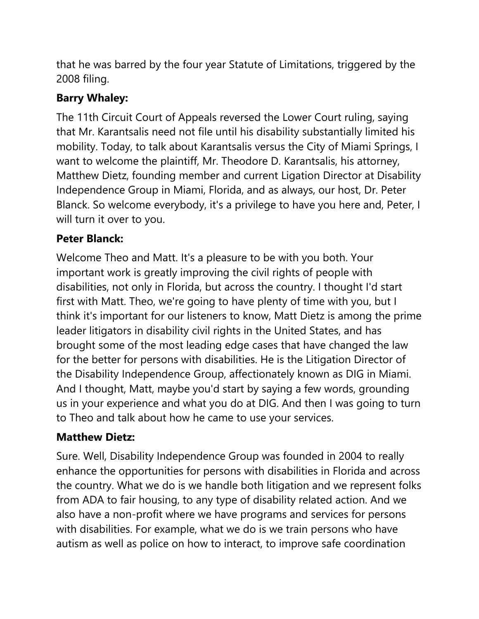that he was barred by the four year Statute of Limitations, triggered by the 2008 filing.

# **Barry Whaley:**

The 11th Circuit Court of Appeals reversed the Lower Court ruling, saying that Mr. Karantsalis need not file until his disability substantially limited his mobility. Today, to talk about Karantsalis versus the City of Miami Springs, I want to welcome the plaintiff, Mr. Theodore D. Karantsalis, his attorney, Matthew Dietz, founding member and current Ligation Director at Disability Independence Group in Miami, Florida, and as always, our host, Dr. Peter Blanck. So welcome everybody, it's a privilege to have you here and, Peter, I will turn it over to you.

# **Peter Blanck:**

Welcome Theo and Matt. It's a pleasure to be with you both. Your important work is greatly improving the civil rights of people with disabilities, not only in Florida, but across the country. I thought I'd start first with Matt. Theo, we're going to have plenty of time with you, but I think it's important for our listeners to know, Matt Dietz is among the prime leader litigators in disability civil rights in the United States, and has brought some of the most leading edge cases that have changed the law for the better for persons with disabilities. He is the Litigation Director of the Disability Independence Group, affectionately known as DIG in Miami. And I thought, Matt, maybe you'd start by saying a few words, grounding us in your experience and what you do at DIG. And then I was going to turn to Theo and talk about how he came to use your services.

# **Matthew Dietz:**

Sure. Well, Disability Independence Group was founded in 2004 to really enhance the opportunities for persons with disabilities in Florida and across the country. What we do is we handle both litigation and we represent folks from ADA to fair housing, to any type of disability related action. And we also have a non-profit where we have programs and services for persons with disabilities. For example, what we do is we train persons who have autism as well as police on how to interact, to improve safe coordination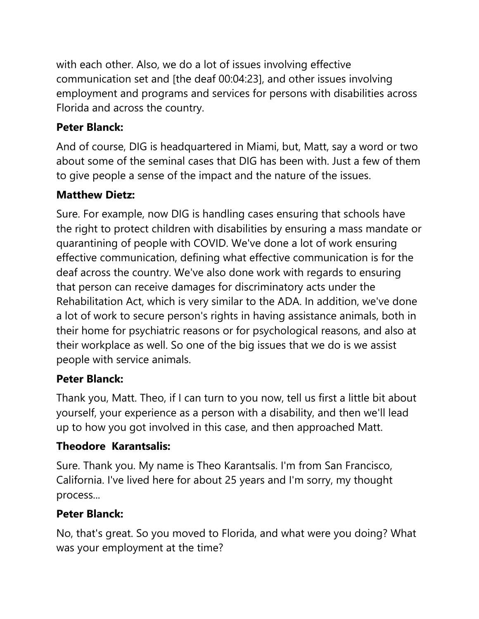with each other. Also, we do a lot of issues involving effective communication set and [the deaf 00:04:23], and other issues involving employment and programs and services for persons with disabilities across Florida and across the country.

# **Peter Blanck:**

And of course, DIG is headquartered in Miami, but, Matt, say a word or two about some of the seminal cases that DIG has been with. Just a few of them to give people a sense of the impact and the nature of the issues.

# **Matthew Dietz:**

Sure. For example, now DIG is handling cases ensuring that schools have the right to protect children with disabilities by ensuring a mass mandate or quarantining of people with COVID. We've done a lot of work ensuring effective communication, defining what effective communication is for the deaf across the country. We've also done work with regards to ensuring that person can receive damages for discriminatory acts under the Rehabilitation Act, which is very similar to the ADA. In addition, we've done a lot of work to secure person's rights in having assistance animals, both in their home for psychiatric reasons or for psychological reasons, and also at their workplace as well. So one of the big issues that we do is we assist people with service animals.

# **Peter Blanck:**

Thank you, Matt. Theo, if I can turn to you now, tell us first a little bit about yourself, your experience as a person with a disability, and then we'll lead up to how you got involved in this case, and then approached Matt.

# **Theodore Karantsalis:**

Sure. Thank you. My name is Theo Karantsalis. I'm from San Francisco, California. I've lived here for about 25 years and I'm sorry, my thought process...

# **Peter Blanck:**

No, that's great. So you moved to Florida, and what were you doing? What was your employment at the time?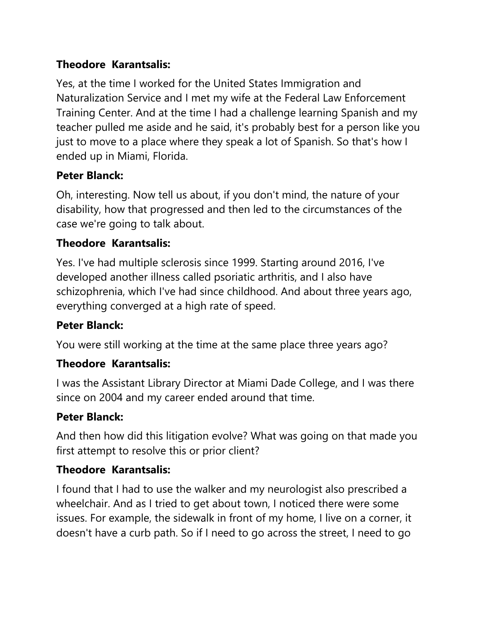### **Theodore Karantsalis:**

Yes, at the time I worked for the United States Immigration and Naturalization Service and I met my wife at the Federal Law Enforcement Training Center. And at the time I had a challenge learning Spanish and my teacher pulled me aside and he said, it's probably best for a person like you just to move to a place where they speak a lot of Spanish. So that's how I ended up in Miami, Florida.

### **Peter Blanck:**

Oh, interesting. Now tell us about, if you don't mind, the nature of your disability, how that progressed and then led to the circumstances of the case we're going to talk about.

### **Theodore Karantsalis:**

Yes. I've had multiple sclerosis since 1999. Starting around 2016, I've developed another illness called psoriatic arthritis, and I also have schizophrenia, which I've had since childhood. And about three years ago, everything converged at a high rate of speed.

### **Peter Blanck:**

You were still working at the time at the same place three years ago?

#### **Theodore Karantsalis:**

I was the Assistant Library Director at Miami Dade College, and I was there since on 2004 and my career ended around that time.

#### **Peter Blanck:**

And then how did this litigation evolve? What was going on that made you first attempt to resolve this or prior client?

#### **Theodore Karantsalis:**

I found that I had to use the walker and my neurologist also prescribed a wheelchair. And as I tried to get about town, I noticed there were some issues. For example, the sidewalk in front of my home, I live on a corner, it doesn't have a curb path. So if I need to go across the street, I need to go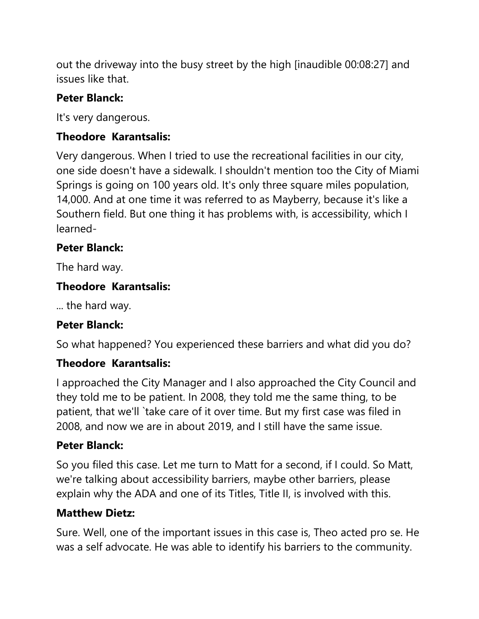out the driveway into the busy street by the high [inaudible 00:08:27] and issues like that.

### **Peter Blanck:**

It's very dangerous.

### **Theodore Karantsalis:**

Very dangerous. When I tried to use the recreational facilities in our city, one side doesn't have a sidewalk. I shouldn't mention too the City of Miami Springs is going on 100 years old. It's only three square miles population, 14,000. And at one time it was referred to as Mayberry, because it's like a Southern field. But one thing it has problems with, is accessibility, which I learned-

### **Peter Blanck:**

The hard way.

### **Theodore Karantsalis:**

... the hard way.

### **Peter Blanck:**

So what happened? You experienced these barriers and what did you do?

### **Theodore Karantsalis:**

I approached the City Manager and I also approached the City Council and they told me to be patient. In 2008, they told me the same thing, to be patient, that we'll `take care of it over time. But my first case was filed in 2008, and now we are in about 2019, and I still have the same issue.

#### **Peter Blanck:**

So you filed this case. Let me turn to Matt for a second, if I could. So Matt, we're talking about accessibility barriers, maybe other barriers, please explain why the ADA and one of its Titles, Title II, is involved with this.

### **Matthew Dietz:**

Sure. Well, one of the important issues in this case is, Theo acted pro se. He was a self advocate. He was able to identify his barriers to the community.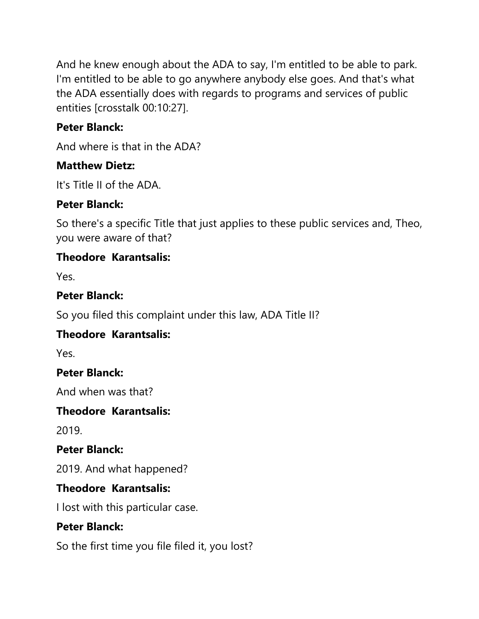And he knew enough about the ADA to say, I'm entitled to be able to park. I'm entitled to be able to go anywhere anybody else goes. And that's what the ADA essentially does with regards to programs and services of public entities [crosstalk 00:10:27].

### **Peter Blanck:**

And where is that in the ADA?

### **Matthew Dietz:**

It's Title II of the ADA.

# **Peter Blanck:**

So there's a specific Title that just applies to these public services and, Theo, you were aware of that?

### **Theodore Karantsalis:**

Yes.

### **Peter Blanck:**

So you filed this complaint under this law, ADA Title II?

# **Theodore Karantsalis:**

Yes.

### **Peter Blanck:**

And when was that?

### **Theodore Karantsalis:**

2019.

### **Peter Blanck:**

2019. And what happened?

### **Theodore Karantsalis:**

I lost with this particular case.

### **Peter Blanck:**

So the first time you file filed it, you lost?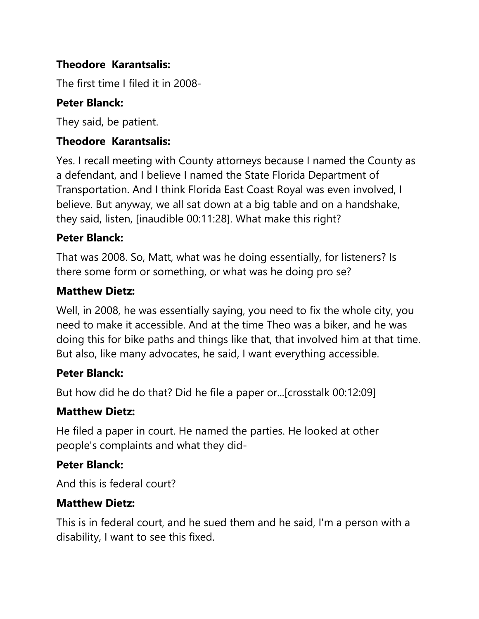### **Theodore Karantsalis:**

The first time I filed it in 2008-

# **Peter Blanck:**

They said, be patient.

### **Theodore Karantsalis:**

Yes. I recall meeting with County attorneys because I named the County as a defendant, and I believe I named the State Florida Department of Transportation. And I think Florida East Coast Royal was even involved, I believe. But anyway, we all sat down at a big table and on a handshake, they said, listen, [inaudible 00:11:28]. What make this right?

### **Peter Blanck:**

That was 2008. So, Matt, what was he doing essentially, for listeners? Is there some form or something, or what was he doing pro se?

#### **Matthew Dietz:**

Well, in 2008, he was essentially saying, you need to fix the whole city, you need to make it accessible. And at the time Theo was a biker, and he was doing this for bike paths and things like that, that involved him at that time. But also, like many advocates, he said, I want everything accessible.

#### **Peter Blanck:**

But how did he do that? Did he file a paper or...[crosstalk 00:12:09]

### **Matthew Dietz:**

He filed a paper in court. He named the parties. He looked at other people's complaints and what they did-

### **Peter Blanck:**

And this is federal court?

#### **Matthew Dietz:**

This is in federal court, and he sued them and he said, I'm a person with a disability, I want to see this fixed.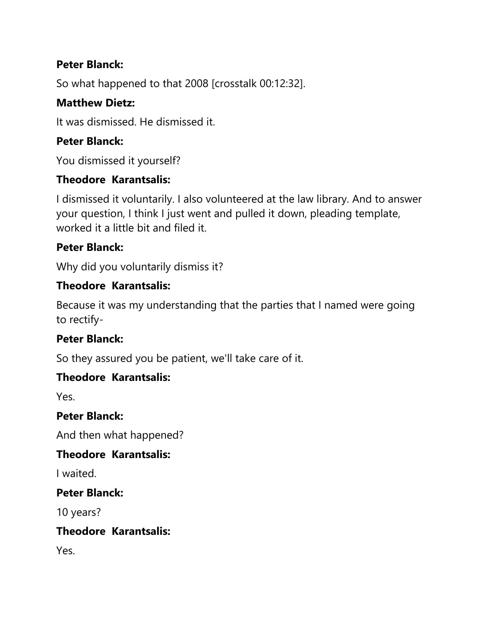### **Peter Blanck:**

So what happened to that 2008 [crosstalk 00:12:32].

### **Matthew Dietz:**

It was dismissed. He dismissed it.

### **Peter Blanck:**

You dismissed it yourself?

### **Theodore Karantsalis:**

I dismissed it voluntarily. I also volunteered at the law library. And to answer your question, I think I just went and pulled it down, pleading template, worked it a little bit and filed it.

### **Peter Blanck:**

Why did you voluntarily dismiss it?

### **Theodore Karantsalis:**

Because it was my understanding that the parties that I named were going to rectify-

### **Peter Blanck:**

So they assured you be patient, we'll take care of it.

#### **Theodore Karantsalis:**

Yes.

#### **Peter Blanck:**

And then what happened?

### **Theodore Karantsalis:**

I waited.

#### **Peter Blanck:**

10 years?

#### **Theodore Karantsalis:**

Yes.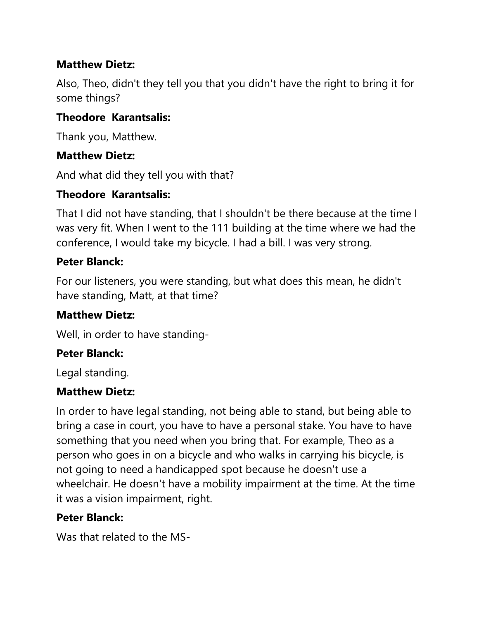### **Matthew Dietz:**

Also, Theo, didn't they tell you that you didn't have the right to bring it for some things?

### **Theodore Karantsalis:**

Thank you, Matthew.

#### **Matthew Dietz:**

And what did they tell you with that?

### **Theodore Karantsalis:**

That I did not have standing, that I shouldn't be there because at the time I was very fit. When I went to the 111 building at the time where we had the conference, I would take my bicycle. I had a bill. I was very strong.

#### **Peter Blanck:**

For our listeners, you were standing, but what does this mean, he didn't have standing, Matt, at that time?

#### **Matthew Dietz:**

Well, in order to have standing-

#### **Peter Blanck:**

Legal standing.

#### **Matthew Dietz:**

In order to have legal standing, not being able to stand, but being able to bring a case in court, you have to have a personal stake. You have to have something that you need when you bring that. For example, Theo as a person who goes in on a bicycle and who walks in carrying his bicycle, is not going to need a handicapped spot because he doesn't use a wheelchair. He doesn't have a mobility impairment at the time. At the time it was a vision impairment, right.

#### **Peter Blanck:**

Was that related to the MS-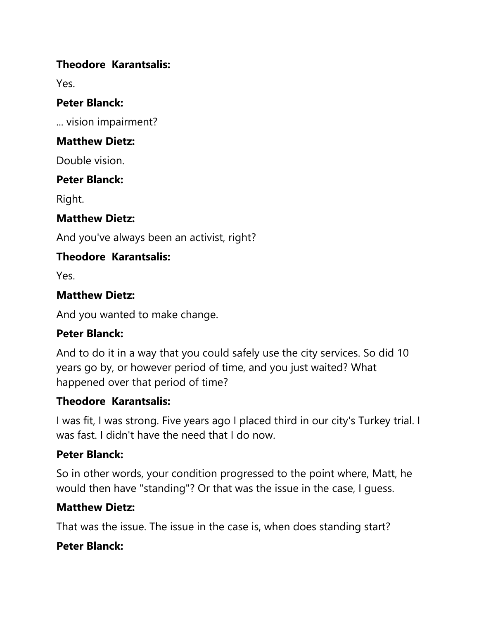### **Theodore Karantsalis:**

Yes.

#### **Peter Blanck:**

... vision impairment?

#### **Matthew Dietz:**

Double vision.

### **Peter Blanck:**

Right.

### **Matthew Dietz:**

And you've always been an activist, right?

### **Theodore Karantsalis:**

Yes.

### **Matthew Dietz:**

And you wanted to make change.

### **Peter Blanck:**

And to do it in a way that you could safely use the city services. So did 10 years go by, or however period of time, and you just waited? What happened over that period of time?

### **Theodore Karantsalis:**

I was fit, I was strong. Five years ago I placed third in our city's Turkey trial. I was fast. I didn't have the need that I do now.

### **Peter Blanck:**

So in other words, your condition progressed to the point where, Matt, he would then have "standing"? Or that was the issue in the case, I guess.

### **Matthew Dietz:**

That was the issue. The issue in the case is, when does standing start?

### **Peter Blanck:**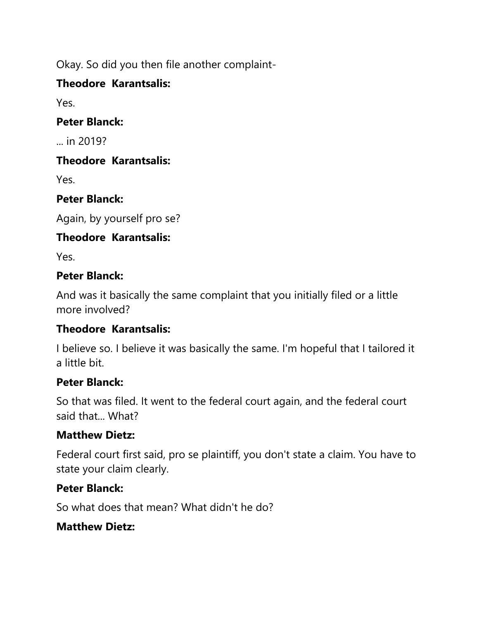Okay. So did you then file another complaint-

### **Theodore Karantsalis:**

Yes.

### **Peter Blanck:**

... in 2019?

### **Theodore Karantsalis:**

Yes.

# **Peter Blanck:**

Again, by yourself pro se?

# **Theodore Karantsalis:**

Yes.

### **Peter Blanck:**

And was it basically the same complaint that you initially filed or a little more involved?

# **Theodore Karantsalis:**

I believe so. I believe it was basically the same. I'm hopeful that I tailored it a little bit.

# **Peter Blanck:**

So that was filed. It went to the federal court again, and the federal court said that... What?

# **Matthew Dietz:**

Federal court first said, pro se plaintiff, you don't state a claim. You have to state your claim clearly.

### **Peter Blanck:**

So what does that mean? What didn't he do?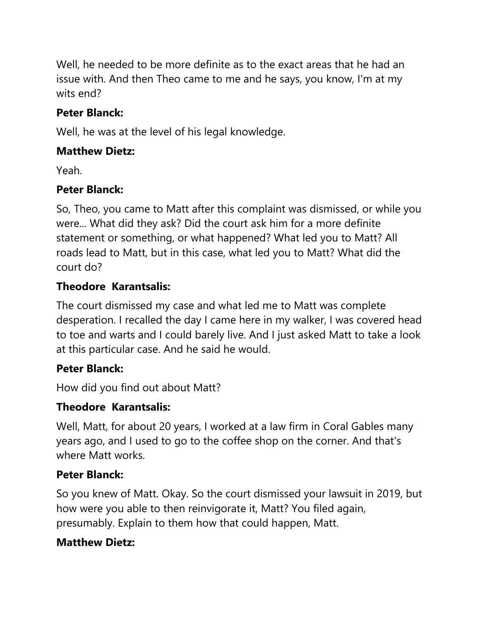Well, he needed to be more definite as to the exact areas that he had an issue with. And then Theo came to me and he says, you know, I'm at my wits end?

### **Peter Blanck:**

Well, he was at the level of his legal knowledge.

### **Matthew Dietz:**

Yeah.

### **Peter Blanck:**

So, Theo, you came to Matt after this complaint was dismissed, or while you were... What did they ask? Did the court ask him for a more definite statement or something, or what happened? What led you to Matt? All roads lead to Matt, but in this case, what led you to Matt? What did the court do?

### **Theodore Karantsalis:**

The court dismissed my case and what led me to Matt was complete desperation. I recalled the day I came here in my walker, I was covered head to toe and warts and I could barely live. And I just asked Matt to take a look at this particular case. And he said he would.

### **Peter Blanck:**

How did you find out about Matt?

### **Theodore Karantsalis:**

Well, Matt, for about 20 years, I worked at a law firm in Coral Gables many years ago, and I used to go to the coffee shop on the corner. And that's where Matt works.

### **Peter Blanck:**

So you knew of Matt. Okay. So the court dismissed your lawsuit in 2019, but how were you able to then reinvigorate it, Matt? You filed again, presumably. Explain to them how that could happen, Matt.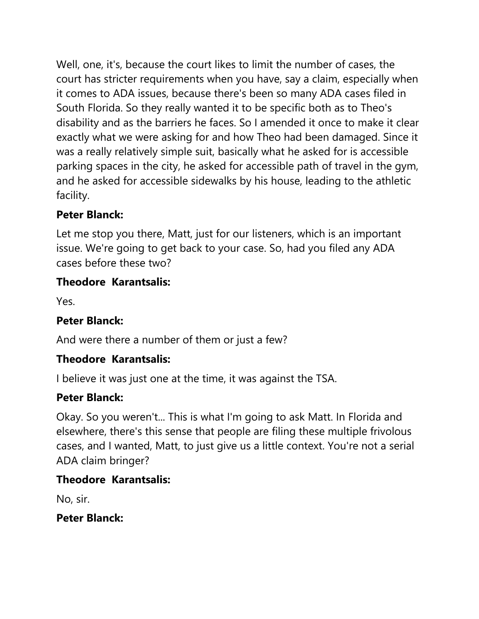Well, one, it's, because the court likes to limit the number of cases, the court has stricter requirements when you have, say a claim, especially when it comes to ADA issues, because there's been so many ADA cases filed in South Florida. So they really wanted it to be specific both as to Theo's disability and as the barriers he faces. So I amended it once to make it clear exactly what we were asking for and how Theo had been damaged. Since it was a really relatively simple suit, basically what he asked for is accessible parking spaces in the city, he asked for accessible path of travel in the gym, and he asked for accessible sidewalks by his house, leading to the athletic facility.

# **Peter Blanck:**

Let me stop you there, Matt, just for our listeners, which is an important issue. We're going to get back to your case. So, had you filed any ADA cases before these two?

### **Theodore Karantsalis:**

Yes.

### **Peter Blanck:**

And were there a number of them or just a few?

### **Theodore Karantsalis:**

I believe it was just one at the time, it was against the TSA.

### **Peter Blanck:**

Okay. So you weren't... This is what I'm going to ask Matt. In Florida and elsewhere, there's this sense that people are filing these multiple frivolous cases, and I wanted, Matt, to just give us a little context. You're not a serial ADA claim bringer?

### **Theodore Karantsalis:**

No, sir.

#### **Peter Blanck:**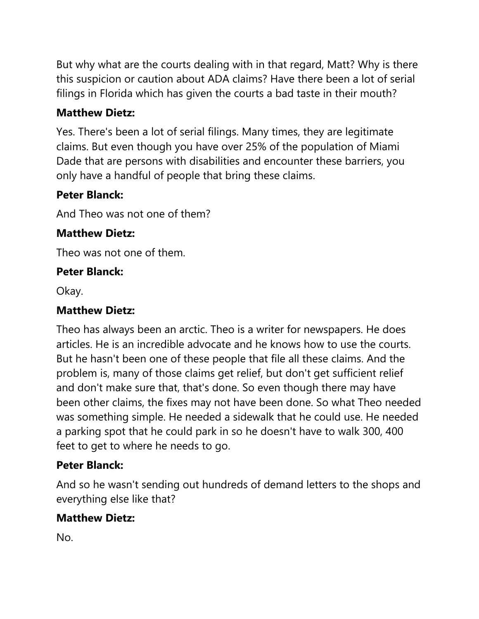But why what are the courts dealing with in that regard, Matt? Why is there this suspicion or caution about ADA claims? Have there been a lot of serial filings in Florida which has given the courts a bad taste in their mouth?

# **Matthew Dietz:**

Yes. There's been a lot of serial filings. Many times, they are legitimate claims. But even though you have over 25% of the population of Miami Dade that are persons with disabilities and encounter these barriers, you only have a handful of people that bring these claims.

# **Peter Blanck:**

And Theo was not one of them?

### **Matthew Dietz:**

Theo was not one of them.

### **Peter Blanck:**

Okay.

# **Matthew Dietz:**

Theo has always been an arctic. Theo is a writer for newspapers. He does articles. He is an incredible advocate and he knows how to use the courts. But he hasn't been one of these people that file all these claims. And the problem is, many of those claims get relief, but don't get sufficient relief and don't make sure that, that's done. So even though there may have been other claims, the fixes may not have been done. So what Theo needed was something simple. He needed a sidewalk that he could use. He needed a parking spot that he could park in so he doesn't have to walk 300, 400 feet to get to where he needs to go.

### **Peter Blanck:**

And so he wasn't sending out hundreds of demand letters to the shops and everything else like that?

# **Matthew Dietz:**

No.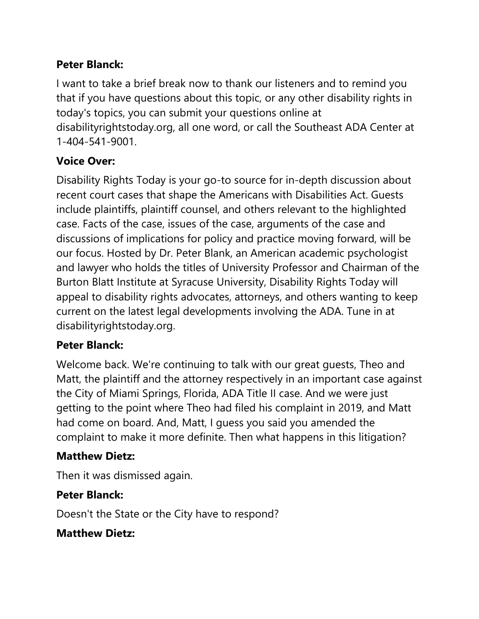### **Peter Blanck:**

I want to take a brief break now to thank our listeners and to remind you that if you have questions about this topic, or any other disability rights in today's topics, you can submit your questions online at disabilityrightstoday.org, all one word, or call the Southeast ADA Center at 1-404-541-9001.

# **Voice Over:**

Disability Rights Today is your go-to source for in-depth discussion about recent court cases that shape the Americans with Disabilities Act. Guests include plaintiffs, plaintiff counsel, and others relevant to the highlighted case. Facts of the case, issues of the case, arguments of the case and discussions of implications for policy and practice moving forward, will be our focus. Hosted by Dr. Peter Blank, an American academic psychologist and lawyer who holds the titles of University Professor and Chairman of the Burton Blatt Institute at Syracuse University, Disability Rights Today will appeal to disability rights advocates, attorneys, and others wanting to keep current on the latest legal developments involving the ADA. Tune in at disabilityrightstoday.org.

### **Peter Blanck:**

Welcome back. We're continuing to talk with our great guests, Theo and Matt, the plaintiff and the attorney respectively in an important case against the City of Miami Springs, Florida, ADA Title II case. And we were just getting to the point where Theo had filed his complaint in 2019, and Matt had come on board. And, Matt, I guess you said you amended the complaint to make it more definite. Then what happens in this litigation?

### **Matthew Dietz:**

Then it was dismissed again.

### **Peter Blanck:**

Doesn't the State or the City have to respond?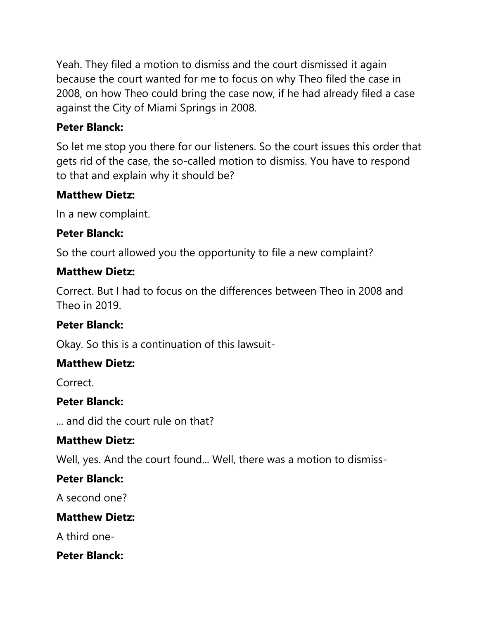Yeah. They filed a motion to dismiss and the court dismissed it again because the court wanted for me to focus on why Theo filed the case in 2008, on how Theo could bring the case now, if he had already filed a case against the City of Miami Springs in 2008.

### **Peter Blanck:**

So let me stop you there for our listeners. So the court issues this order that gets rid of the case, the so-called motion to dismiss. You have to respond to that and explain why it should be?

### **Matthew Dietz:**

In a new complaint.

#### **Peter Blanck:**

So the court allowed you the opportunity to file a new complaint?

#### **Matthew Dietz:**

Correct. But I had to focus on the differences between Theo in 2008 and Theo in  $2019$ .

#### **Peter Blanck:**

Okay. So this is a continuation of this lawsuit-

#### **Matthew Dietz:**

Correct.

#### **Peter Blanck:**

... and did the court rule on that?

#### **Matthew Dietz:**

Well, yes. And the court found... Well, there was a motion to dismiss-

#### **Peter Blanck:**

A second one?

#### **Matthew Dietz:**

A third one-

#### **Peter Blanck:**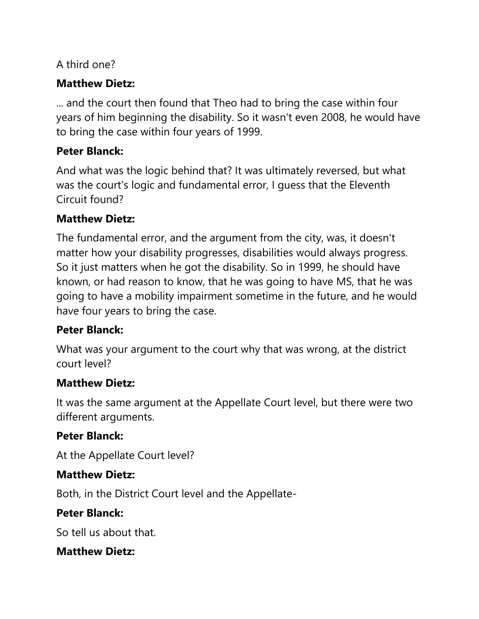### A third one?

### **Matthew Dietz:**

... and the court then found that Theo had to bring the case within four years of him beginning the disability. So it wasn't even 2008, he would have to bring the case within four years of 1999.

### **Peter Blanck:**

And what was the logic behind that? It was ultimately reversed, but what was the court's logic and fundamental error, I guess that the Eleventh Circuit found?

### **Matthew Dietz:**

The fundamental error, and the argument from the city, was, it doesn't matter how your disability progresses, disabilities would always progress. So it just matters when he got the disability. So in 1999, he should have known, or had reason to know, that he was going to have MS, that he was going to have a mobility impairment sometime in the future, and he would have four years to bring the case.

#### **Peter Blanck:**

What was your argument to the court why that was wrong, at the district court level?

#### **Matthew Dietz:**

It was the same argument at the Appellate Court level, but there were two different arguments.

### **Peter Blanck:**

At the Appellate Court level?

#### **Matthew Dietz:**

Both, in the District Court level and the Appellate-

### **Peter Blanck:**

So tell us about that.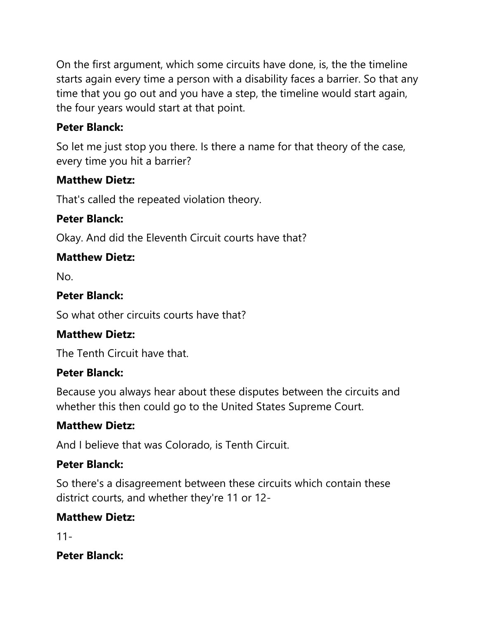On the first argument, which some circuits have done, is, the the timeline starts again every time a person with a disability faces a barrier. So that any time that you go out and you have a step, the timeline would start again, the four years would start at that point.

### **Peter Blanck:**

So let me just stop you there. Is there a name for that theory of the case, every time you hit a barrier?

### **Matthew Dietz:**

That's called the repeated violation theory.

### **Peter Blanck:**

Okay. And did the Eleventh Circuit courts have that?

### **Matthew Dietz:**

No.

### **Peter Blanck:**

So what other circuits courts have that?

### **Matthew Dietz:**

The Tenth Circuit have that.

### **Peter Blanck:**

Because you always hear about these disputes between the circuits and whether this then could go to the United States Supreme Court.

### **Matthew Dietz:**

And I believe that was Colorado, is Tenth Circuit.

### **Peter Blanck:**

So there's a disagreement between these circuits which contain these district courts, and whether they're 11 or 12-

### **Matthew Dietz:**

11-

### **Peter Blanck:**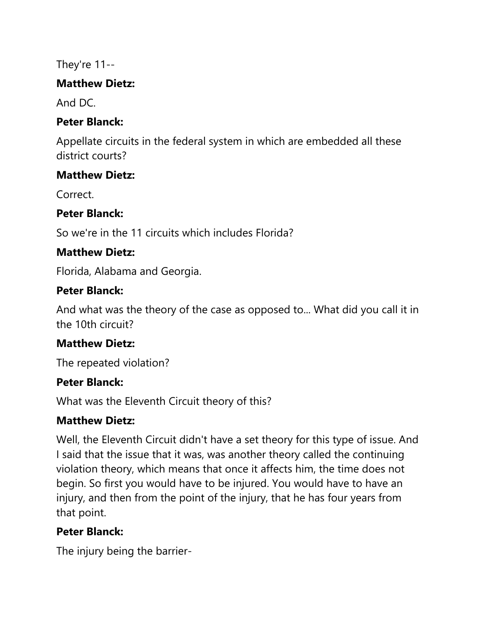They're 11--

### **Matthew Dietz:**

And DC.

### **Peter Blanck:**

Appellate circuits in the federal system in which are embedded all these district courts?

### **Matthew Dietz:**

Correct.

### **Peter Blanck:**

So we're in the 11 circuits which includes Florida?

# **Matthew Dietz:**

Florida, Alabama and Georgia.

### **Peter Blanck:**

And what was the theory of the case as opposed to... What did you call it in the 10th circuit?

### **Matthew Dietz:**

The repeated violation?

### **Peter Blanck:**

What was the Eleventh Circuit theory of this?

### **Matthew Dietz:**

Well, the Eleventh Circuit didn't have a set theory for this type of issue. And I said that the issue that it was, was another theory called the continuing violation theory, which means that once it affects him, the time does not begin. So first you would have to be injured. You would have to have an injury, and then from the point of the injury, that he has four years from that point.

# **Peter Blanck:**

The injury being the barrier-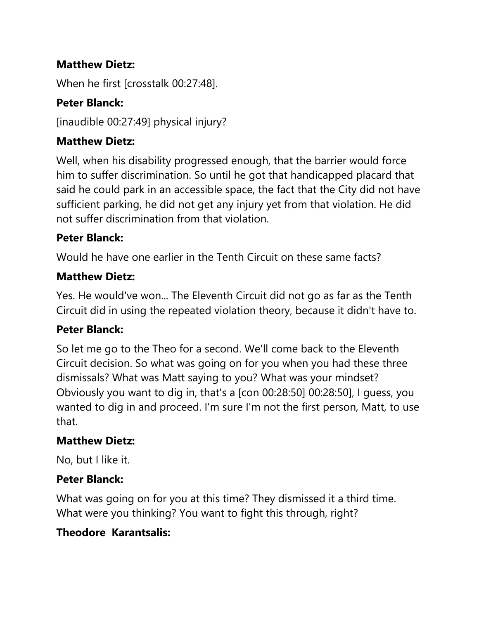### **Matthew Dietz:**

When he first [crosstalk 00:27:48].

# **Peter Blanck:**

[inaudible 00:27:49] physical injury?

# **Matthew Dietz:**

Well, when his disability progressed enough, that the barrier would force him to suffer discrimination. So until he got that handicapped placard that said he could park in an accessible space, the fact that the City did not have sufficient parking, he did not get any injury yet from that violation. He did not suffer discrimination from that violation.

### **Peter Blanck:**

Would he have one earlier in the Tenth Circuit on these same facts?

### **Matthew Dietz:**

Yes. He would've won... The Eleventh Circuit did not go as far as the Tenth Circuit did in using the repeated violation theory, because it didn't have to.

### **Peter Blanck:**

So let me go to the Theo for a second. We'll come back to the Eleventh Circuit decision. So what was going on for you when you had these three dismissals? What was Matt saying to you? What was your mindset? Obviously you want to dig in, that's a [con 00:28:50] 00:28:50], I guess, you wanted to dig in and proceed. I'm sure I'm not the first person, Matt, to use that.

### **Matthew Dietz:**

No, but I like it.

### **Peter Blanck:**

What was going on for you at this time? They dismissed it a third time. What were you thinking? You want to fight this through, right?

# **Theodore Karantsalis:**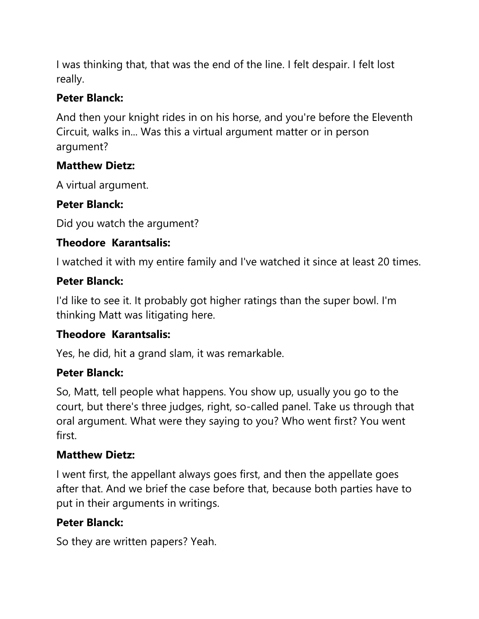I was thinking that, that was the end of the line. I felt despair. I felt lost really.

### **Peter Blanck:**

And then your knight rides in on his horse, and you're before the Eleventh Circuit, walks in... Was this a virtual argument matter or in person argument?

# **Matthew Dietz:**

A virtual argument.

# **Peter Blanck:**

Did you watch the argument?

# **Theodore Karantsalis:**

I watched it with my entire family and I've watched it since at least 20 times.

# **Peter Blanck:**

I'd like to see it. It probably got higher ratings than the super bowl. I'm thinking Matt was litigating here.

# **Theodore Karantsalis:**

Yes, he did, hit a grand slam, it was remarkable.

# **Peter Blanck:**

So, Matt, tell people what happens. You show up, usually you go to the court, but there's three judges, right, so-called panel. Take us through that oral argument. What were they saying to you? Who went first? You went first.

# **Matthew Dietz:**

I went first, the appellant always goes first, and then the appellate goes after that. And we brief the case before that, because both parties have to put in their arguments in writings.

# **Peter Blanck:**

So they are written papers? Yeah.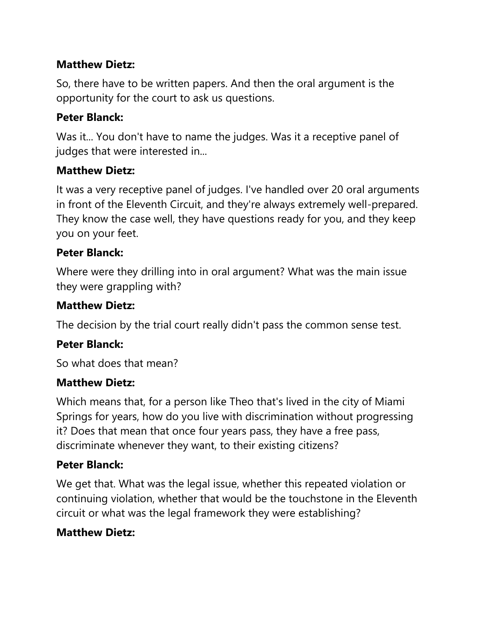### **Matthew Dietz:**

So, there have to be written papers. And then the oral argument is the opportunity for the court to ask us questions.

### **Peter Blanck:**

Was it... You don't have to name the judges. Was it a receptive panel of judges that were interested in...

### **Matthew Dietz:**

It was a very receptive panel of judges. I've handled over 20 oral arguments in front of the Eleventh Circuit, and they're always extremely well-prepared. They know the case well, they have questions ready for you, and they keep you on your feet.

### **Peter Blanck:**

Where were they drilling into in oral argument? What was the main issue they were grappling with?

#### **Matthew Dietz:**

The decision by the trial court really didn't pass the common sense test.

#### **Peter Blanck:**

So what does that mean?

#### **Matthew Dietz:**

Which means that, for a person like Theo that's lived in the city of Miami Springs for years, how do you live with discrimination without progressing it? Does that mean that once four years pass, they have a free pass, discriminate whenever they want, to their existing citizens?

### **Peter Blanck:**

We get that. What was the legal issue, whether this repeated violation or continuing violation, whether that would be the touchstone in the Eleventh circuit or what was the legal framework they were establishing?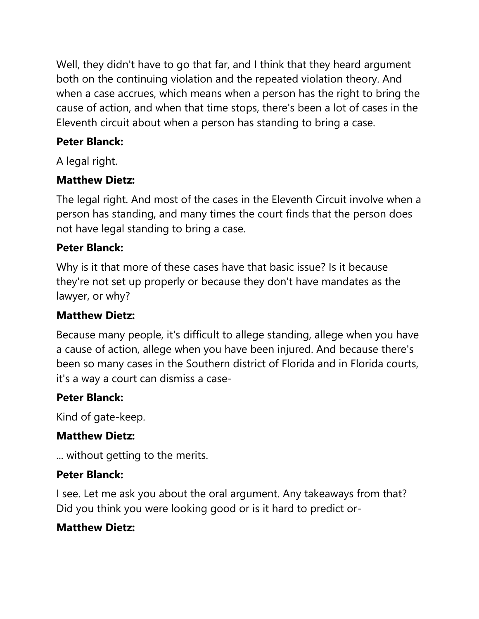Well, they didn't have to go that far, and I think that they heard argument both on the continuing violation and the repeated violation theory. And when a case accrues, which means when a person has the right to bring the cause of action, and when that time stops, there's been a lot of cases in the Eleventh circuit about when a person has standing to bring a case.

# **Peter Blanck:**

A legal right.

# **Matthew Dietz:**

The legal right. And most of the cases in the Eleventh Circuit involve when a person has standing, and many times the court finds that the person does not have legal standing to bring a case.

### **Peter Blanck:**

Why is it that more of these cases have that basic issue? Is it because they're not set up properly or because they don't have mandates as the lawyer, or why?

### **Matthew Dietz:**

Because many people, it's difficult to allege standing, allege when you have a cause of action, allege when you have been injured. And because there's been so many cases in the Southern district of Florida and in Florida courts, it's a way a court can dismiss a case-

### **Peter Blanck:**

Kind of gate-keep.

### **Matthew Dietz:**

... without getting to the merits.

### **Peter Blanck:**

I see. Let me ask you about the oral argument. Any takeaways from that? Did you think you were looking good or is it hard to predict or-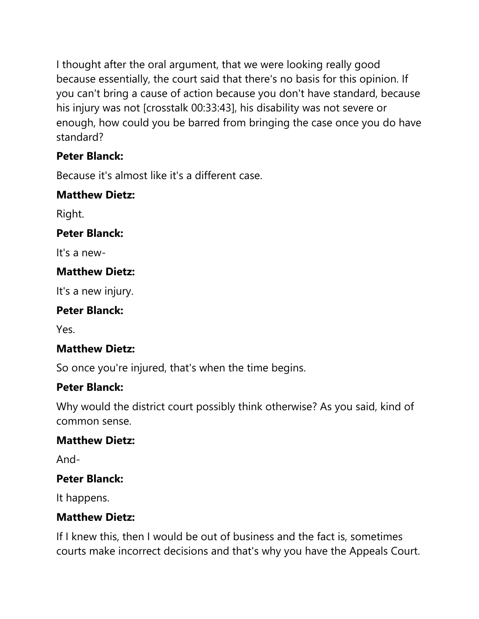I thought after the oral argument, that we were looking really good because essentially, the court said that there's no basis for this opinion. If you can't bring a cause of action because you don't have standard, because his injury was not [crosstalk 00:33:43], his disability was not severe or enough, how could you be barred from bringing the case once you do have standard?

### **Peter Blanck:**

Because it's almost like it's a different case.

### **Matthew Dietz:**

Right.

### **Peter Blanck:**

It's a new-

### **Matthew Dietz:**

It's a new injury.

# **Peter Blanck:**

Yes.

### **Matthew Dietz:**

So once you're injured, that's when the time begins.

# **Peter Blanck:**

Why would the district court possibly think otherwise? As you said, kind of common sense.

### **Matthew Dietz:**

And-

### **Peter Blanck:**

It happens.

### **Matthew Dietz:**

If I knew this, then I would be out of business and the fact is, sometimes courts make incorrect decisions and that's why you have the Appeals Court.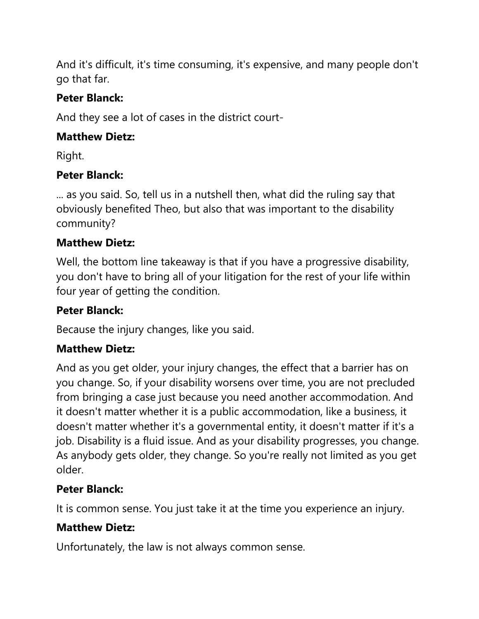And it's difficult, it's time consuming, it's expensive, and many people don't go that far.

# **Peter Blanck:**

And they see a lot of cases in the district court-

# **Matthew Dietz:**

Right.

# **Peter Blanck:**

... as you said. So, tell us in a nutshell then, what did the ruling say that obviously benefited Theo, but also that was important to the disability community?

# **Matthew Dietz:**

Well, the bottom line takeaway is that if you have a progressive disability, you don't have to bring all of your litigation for the rest of your life within four year of getting the condition.

# **Peter Blanck:**

Because the injury changes, like you said.

# **Matthew Dietz:**

And as you get older, your injury changes, the effect that a barrier has on you change. So, if your disability worsens over time, you are not precluded from bringing a case just because you need another accommodation. And it doesn't matter whether it is a public accommodation, like a business, it doesn't matter whether it's a governmental entity, it doesn't matter if it's a job. Disability is a fluid issue. And as your disability progresses, you change. As anybody gets older, they change. So you're really not limited as you get older.

# **Peter Blanck:**

It is common sense. You just take it at the time you experience an injury.

# **Matthew Dietz:**

Unfortunately, the law is not always common sense.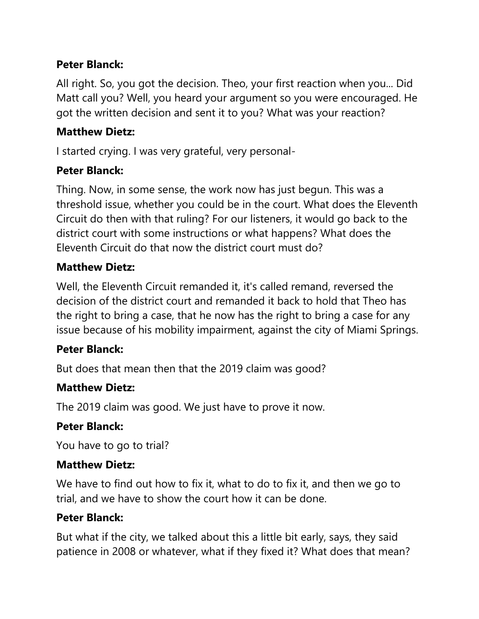### **Peter Blanck:**

All right. So, you got the decision. Theo, your first reaction when you... Did Matt call you? Well, you heard your argument so you were encouraged. He got the written decision and sent it to you? What was your reaction?

### **Matthew Dietz:**

I started crying. I was very grateful, very personal-

### **Peter Blanck:**

Thing. Now, in some sense, the work now has just begun. This was a threshold issue, whether you could be in the court. What does the Eleventh Circuit do then with that ruling? For our listeners, it would go back to the district court with some instructions or what happens? What does the Eleventh Circuit do that now the district court must do?

#### **Matthew Dietz:**

Well, the Eleventh Circuit remanded it, it's called remand, reversed the decision of the district court and remanded it back to hold that Theo has the right to bring a case, that he now has the right to bring a case for any issue because of his mobility impairment, against the city of Miami Springs.

### **Peter Blanck:**

But does that mean then that the 2019 claim was good?

#### **Matthew Dietz:**

The 2019 claim was good. We just have to prove it now.

#### **Peter Blanck:**

You have to go to trial?

#### **Matthew Dietz:**

We have to find out how to fix it, what to do to fix it, and then we go to trial, and we have to show the court how it can be done.

#### **Peter Blanck:**

But what if the city, we talked about this a little bit early, says, they said patience in 2008 or whatever, what if they fixed it? What does that mean?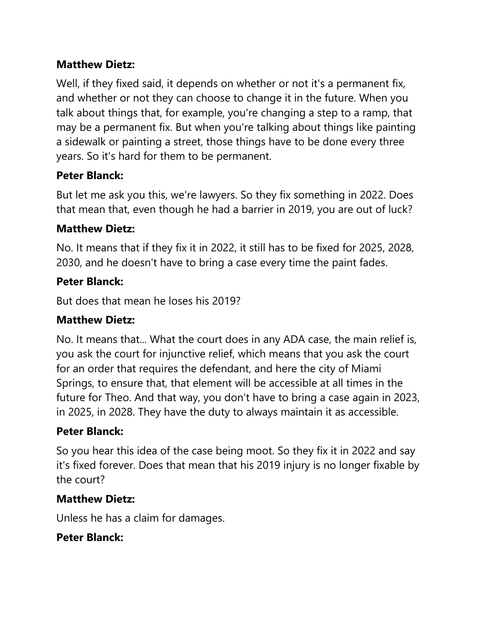# **Matthew Dietz:**

Well, if they fixed said, it depends on whether or not it's a permanent fix, and whether or not they can choose to change it in the future. When you talk about things that, for example, you're changing a step to a ramp, that may be a permanent fix. But when you're talking about things like painting a sidewalk or painting a street, those things have to be done every three years. So it's hard for them to be permanent.

### **Peter Blanck:**

But let me ask you this, we're lawyers. So they fix something in 2022. Does that mean that, even though he had a barrier in 2019, you are out of luck?

### **Matthew Dietz:**

No. It means that if they fix it in 2022, it still has to be fixed for 2025, 2028, 2030, and he doesn't have to bring a case every time the paint fades.

### **Peter Blanck:**

But does that mean he loses his 2019?

### **Matthew Dietz:**

No. It means that... What the court does in any ADA case, the main relief is, you ask the court for injunctive relief, which means that you ask the court for an order that requires the defendant, and here the city of Miami Springs, to ensure that, that element will be accessible at all times in the future for Theo. And that way, you don't have to bring a case again in 2023, in 2025, in 2028. They have the duty to always maintain it as accessible.

### **Peter Blanck:**

So you hear this idea of the case being moot. So they fix it in 2022 and say it's fixed forever. Does that mean that his 2019 injury is no longer fixable by the court?

#### **Matthew Dietz:**

Unless he has a claim for damages.

#### **Peter Blanck:**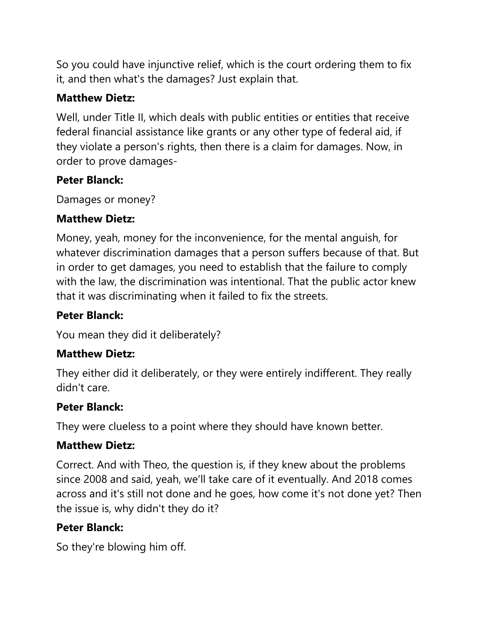So you could have injunctive relief, which is the court ordering them to fix it, and then what's the damages? Just explain that.

### **Matthew Dietz:**

Well, under Title II, which deals with public entities or entities that receive federal financial assistance like grants or any other type of federal aid, if they violate a person's rights, then there is a claim for damages. Now, in order to prove damages-

# **Peter Blanck:**

Damages or money?

### **Matthew Dietz:**

Money, yeah, money for the inconvenience, for the mental anguish, for whatever discrimination damages that a person suffers because of that. But in order to get damages, you need to establish that the failure to comply with the law, the discrimination was intentional. That the public actor knew that it was discriminating when it failed to fix the streets.

# **Peter Blanck:**

You mean they did it deliberately?

# **Matthew Dietz:**

They either did it deliberately, or they were entirely indifferent. They really didn't care.

### **Peter Blanck:**

They were clueless to a point where they should have known better.

### **Matthew Dietz:**

Correct. And with Theo, the question is, if they knew about the problems since 2008 and said, yeah, we'll take care of it eventually. And 2018 comes across and it's still not done and he goes, how come it's not done yet? Then the issue is, why didn't they do it?

# **Peter Blanck:**

So they're blowing him off.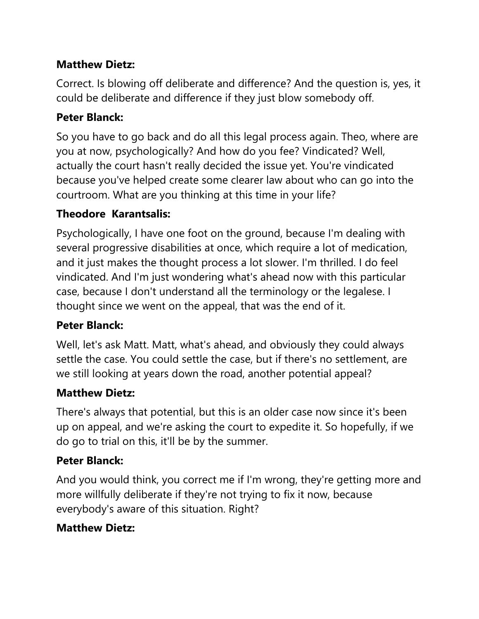### **Matthew Dietz:**

Correct. Is blowing off deliberate and difference? And the question is, yes, it could be deliberate and difference if they just blow somebody off.

### **Peter Blanck:**

So you have to go back and do all this legal process again. Theo, where are you at now, psychologically? And how do you fee? Vindicated? Well, actually the court hasn't really decided the issue yet. You're vindicated because you've helped create some clearer law about who can go into the courtroom. What are you thinking at this time in your life?

### **Theodore Karantsalis:**

Psychologically, I have one foot on the ground, because I'm dealing with several progressive disabilities at once, which require a lot of medication, and it just makes the thought process a lot slower. I'm thrilled. I do feel vindicated. And I'm just wondering what's ahead now with this particular case, because I don't understand all the terminology or the legalese. I thought since we went on the appeal, that was the end of it.

### **Peter Blanck:**

Well, let's ask Matt. Matt, what's ahead, and obviously they could always settle the case. You could settle the case, but if there's no settlement, are we still looking at years down the road, another potential appeal?

#### **Matthew Dietz:**

There's always that potential, but this is an older case now since it's been up on appeal, and we're asking the court to expedite it. So hopefully, if we do go to trial on this, it'll be by the summer.

### **Peter Blanck:**

And you would think, you correct me if I'm wrong, they're getting more and more willfully deliberate if they're not trying to fix it now, because everybody's aware of this situation. Right?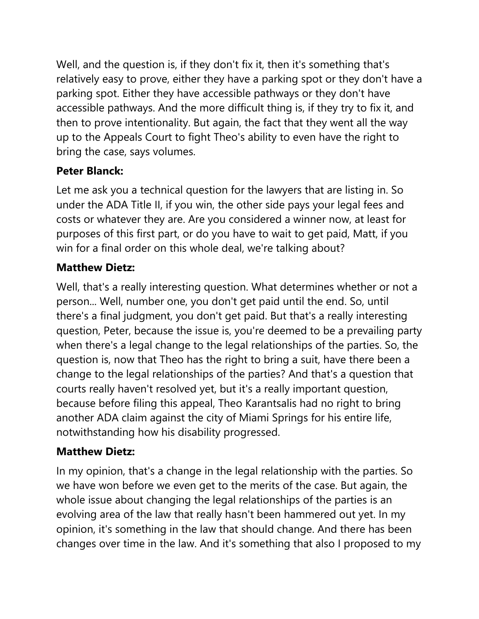Well, and the question is, if they don't fix it, then it's something that's relatively easy to prove, either they have a parking spot or they don't have a parking spot. Either they have accessible pathways or they don't have accessible pathways. And the more difficult thing is, if they try to fix it, and then to prove intentionality. But again, the fact that they went all the way up to the Appeals Court to fight Theo's ability to even have the right to bring the case, says volumes.

# **Peter Blanck:**

Let me ask you a technical question for the lawyers that are listing in. So under the ADA Title II, if you win, the other side pays your legal fees and costs or whatever they are. Are you considered a winner now, at least for purposes of this first part, or do you have to wait to get paid, Matt, if you win for a final order on this whole deal, we're talking about?

# **Matthew Dietz:**

Well, that's a really interesting question. What determines whether or not a person... Well, number one, you don't get paid until the end. So, until there's a final judgment, you don't get paid. But that's a really interesting question, Peter, because the issue is, you're deemed to be a prevailing party when there's a legal change to the legal relationships of the parties. So, the question is, now that Theo has the right to bring a suit, have there been a change to the legal relationships of the parties? And that's a question that courts really haven't resolved yet, but it's a really important question, because before filing this appeal, Theo Karantsalis had no right to bring another ADA claim against the city of Miami Springs for his entire life, notwithstanding how his disability progressed.

# **Matthew Dietz:**

In my opinion, that's a change in the legal relationship with the parties. So we have won before we even get to the merits of the case. But again, the whole issue about changing the legal relationships of the parties is an evolving area of the law that really hasn't been hammered out yet. In my opinion, it's something in the law that should change. And there has been changes over time in the law. And it's something that also I proposed to my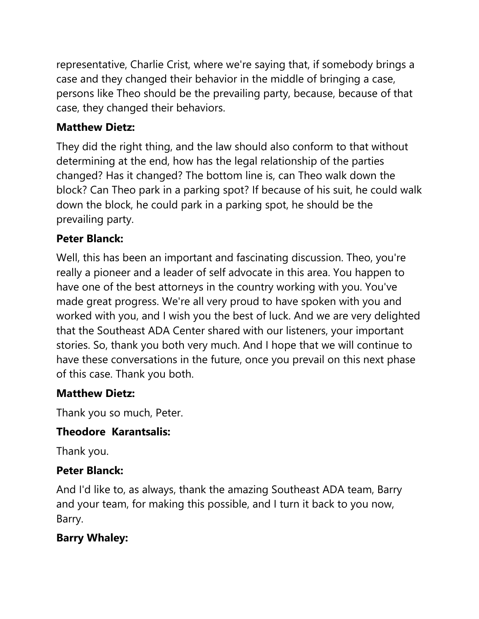representative, Charlie Crist, where we're saying that, if somebody brings a case and they changed their behavior in the middle of bringing a case, persons like Theo should be the prevailing party, because, because of that case, they changed their behaviors.

### **Matthew Dietz:**

They did the right thing, and the law should also conform to that without determining at the end, how has the legal relationship of the parties changed? Has it changed? The bottom line is, can Theo walk down the block? Can Theo park in a parking spot? If because of his suit, he could walk down the block, he could park in a parking spot, he should be the prevailing party.

### **Peter Blanck:**

Well, this has been an important and fascinating discussion. Theo, you're really a pioneer and a leader of self advocate in this area. You happen to have one of the best attorneys in the country working with you. You've made great progress. We're all very proud to have spoken with you and worked with you, and I wish you the best of luck. And we are very delighted that the Southeast ADA Center shared with our listeners, your important stories. So, thank you both very much. And I hope that we will continue to have these conversations in the future, once you prevail on this next phase of this case. Thank you both.

# **Matthew Dietz:**

Thank you so much, Peter.

# **Theodore Karantsalis:**

Thank you.

### **Peter Blanck:**

And I'd like to, as always, thank the amazing Southeast ADA team, Barry and your team, for making this possible, and I turn it back to you now, Barry.

# **Barry Whaley:**